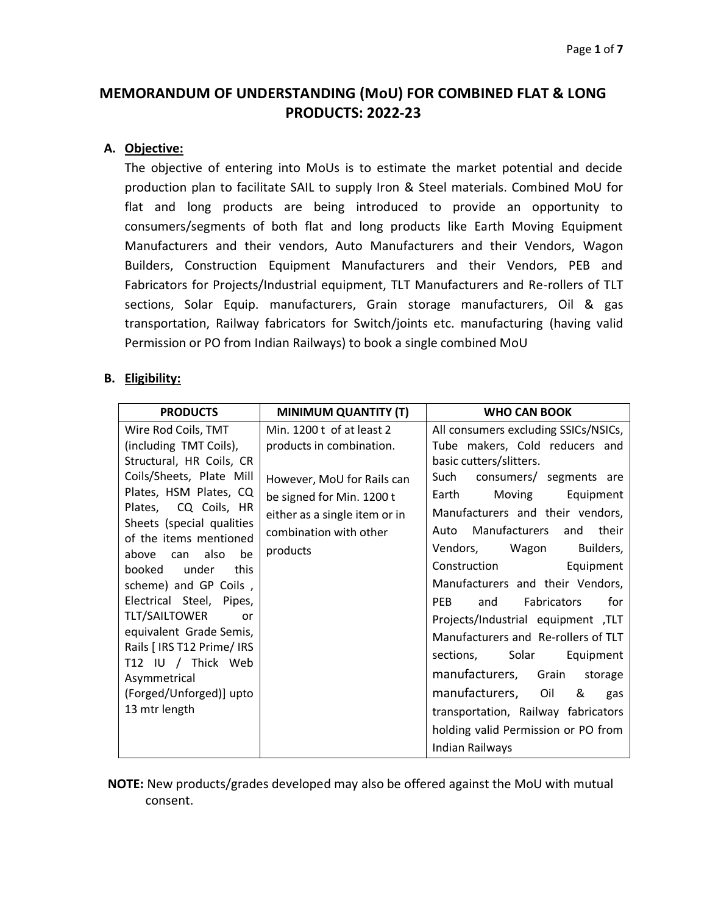# **MEMORANDUM OF UNDERSTANDING (MoU) FOR COMBINED FLAT & LONG PRODUCTS: 2022-23**

#### **A. Objective:**

The objective of entering into MoUs is to estimate the market potential and decide production plan to facilitate SAIL to supply Iron & Steel materials. Combined MoU for flat and long products are being introduced to provide an opportunity to consumers/segments of both flat and long products like Earth Moving Equipment Manufacturers and their vendors, Auto Manufacturers and their Vendors, Wagon Builders, Construction Equipment Manufacturers and their Vendors, PEB and Fabricators for Projects/Industrial equipment, TLT Manufacturers and Re-rollers of TLT sections, Solar Equip. manufacturers, Grain storage manufacturers, Oil & gas transportation, Railway fabricators for Switch/joints etc. manufacturing (having valid Permission or PO from Indian Railways) to book a single combined MoU

#### **B. Eligibility:**

| <b>PRODUCTS</b>                                                                                                                                                                                                                                                                                                                                                                                                                                           | <b>MINIMUM QUANTITY (T)</b>                                                                                                                                                             | <b>WHO CAN BOOK</b>                                                                                                                                                                                                                                                                                                                                                                                                                                                                                                                    |  |  |  |
|-----------------------------------------------------------------------------------------------------------------------------------------------------------------------------------------------------------------------------------------------------------------------------------------------------------------------------------------------------------------------------------------------------------------------------------------------------------|-----------------------------------------------------------------------------------------------------------------------------------------------------------------------------------------|----------------------------------------------------------------------------------------------------------------------------------------------------------------------------------------------------------------------------------------------------------------------------------------------------------------------------------------------------------------------------------------------------------------------------------------------------------------------------------------------------------------------------------------|--|--|--|
| Wire Rod Coils, TMT<br>(including TMT Coils),<br>Structural, HR Coils, CR<br>Coils/Sheets, Plate Mill<br>Plates, HSM Plates, CQ<br>Plates, CQ Coils, HR<br>Sheets (special qualities<br>of the items mentioned<br>also<br>be<br>above<br>can<br>booked<br>under<br>this<br>scheme) and GP Coils,<br>Electrical Steel, Pipes,<br><b>TLT/SAILTOWER</b><br>or<br>equivalent Grade Semis,<br>Rails [ IRS T12 Prime/ IRS<br>T12 IU / Thick Web<br>Asymmetrical | Min. 1200 t of at least 2<br>products in combination.<br>However, MoU for Rails can<br>be signed for Min. 1200 t<br>either as a single item or in<br>combination with other<br>products | All consumers excluding SSICs/NSICs,<br>Tube makers, Cold reducers and<br>basic cutters/slitters.<br>Such consumers/ segments are<br>Moving<br>Earth<br>Equipment<br>Manufacturers and their vendors,<br>Manufacturers and<br>their<br>Auto<br>Vendors, Wagon<br>Builders,<br>Construction<br>Equipment<br>Manufacturers and their Vendors,<br><b>PEB</b><br>and<br>Fabricators<br>for<br>Projects/Industrial equipment ,TLT<br>Manufacturers and Re-rollers of TLT<br>sections, Solar<br>Equipment<br>manufacturers, Grain<br>storage |  |  |  |
| (Forged/Unforged)] upto<br>13 mtr length                                                                                                                                                                                                                                                                                                                                                                                                                  |                                                                                                                                                                                         | manufacturers, Oil<br>&<br>gas<br>transportation, Railway fabricators                                                                                                                                                                                                                                                                                                                                                                                                                                                                  |  |  |  |
|                                                                                                                                                                                                                                                                                                                                                                                                                                                           |                                                                                                                                                                                         | holding valid Permission or PO from<br>Indian Railways                                                                                                                                                                                                                                                                                                                                                                                                                                                                                 |  |  |  |

 **NOTE:** New products/grades developed may also be offered against the MoU with mutual consent.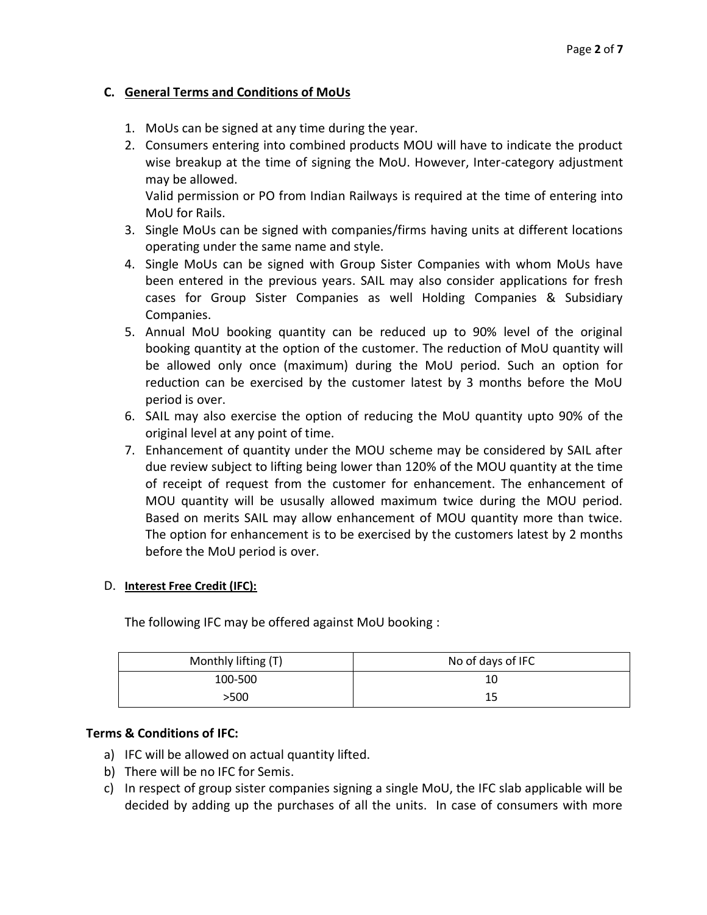# **C. General Terms and Conditions of MoUs**

- 1. MoUs can be signed at any time during the year.
- 2. Consumers entering into combined products MOU will have to indicate the product wise breakup at the time of signing the MoU. However, Inter-category adjustment may be allowed.

Valid permission or PO from Indian Railways is required at the time of entering into MoU for Rails.

- 3. Single MoUs can be signed with companies/firms having units at different locations operating under the same name and style.
- 4. Single MoUs can be signed with Group Sister Companies with whom MoUs have been entered in the previous years. SAIL may also consider applications for fresh cases for Group Sister Companies as well Holding Companies & Subsidiary Companies.
- 5. Annual MoU booking quantity can be reduced up to 90% level of the original booking quantity at the option of the customer. The reduction of MoU quantity will be allowed only once (maximum) during the MoU period. Such an option for reduction can be exercised by the customer latest by 3 months before the MoU period is over.
- 6. SAIL may also exercise the option of reducing the MoU quantity upto 90% of the original level at any point of time.
- 7. Enhancement of quantity under the MOU scheme may be considered by SAIL after due review subject to lifting being lower than 120% of the MOU quantity at the time of receipt of request from the customer for enhancement. The enhancement of MOU quantity will be ususally allowed maximum twice during the MOU period. Based on merits SAIL may allow enhancement of MOU quantity more than twice. The option for enhancement is to be exercised by the customers latest by 2 months before the MoU period is over.

# D. **Interest Free Credit (IFC):**

The following IFC may be offered against MoU booking :

| Monthly lifting (T) | No of days of IFC |  |  |
|---------------------|-------------------|--|--|
| 100-500             | 10                |  |  |
| >500                | 15                |  |  |

# **Terms & Conditions of IFC:**

- a) IFC will be allowed on actual quantity lifted.
- b) There will be no IFC for Semis.
- c) In respect of group sister companies signing a single MoU, the IFC slab applicable will be decided by adding up the purchases of all the units. In case of consumers with more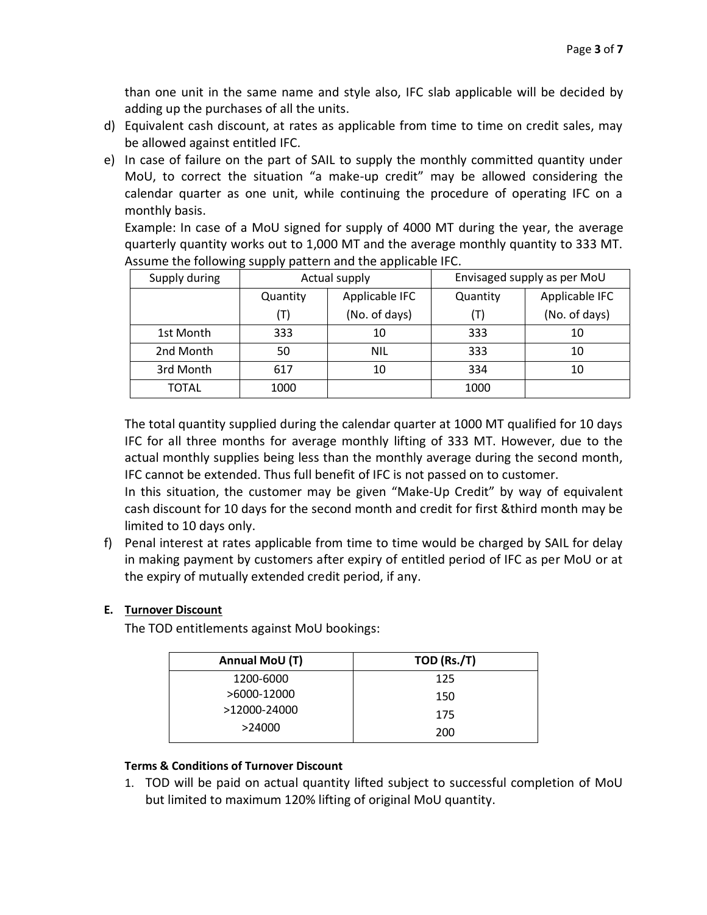than one unit in the same name and style also, IFC slab applicable will be decided by adding up the purchases of all the units.

- d) Equivalent cash discount, at rates as applicable from time to time on credit sales, may be allowed against entitled IFC.
- e) In case of failure on the part of SAIL to supply the monthly committed quantity under MoU, to correct the situation "a make-up credit" may be allowed considering the calendar quarter as one unit, while continuing the procedure of operating IFC on a monthly basis.

Example: In case of a MoU signed for supply of 4000 MT during the year, the average quarterly quantity works out to 1,000 MT and the average monthly quantity to 333 MT. Assume the following supply pattern and the applicable IFC.

| Supply during |                | Actual supply  | Envisaged supply as per MoU |                |  |
|---------------|----------------|----------------|-----------------------------|----------------|--|
|               | Quantity       | Applicable IFC | Quantity                    | Applicable IFC |  |
|               | $(\mathsf{T})$ | (No. of days)  | (T)                         | (No. of days)  |  |
| 1st Month     | 333            | 10             | 333                         | 10             |  |
| 2nd Month     | 50             | <b>NIL</b>     | 333                         | 10             |  |
| 3rd Month     | 617            | 10             | 334                         | 10             |  |
| <b>TOTAL</b>  | 1000           |                | 1000                        |                |  |

The total quantity supplied during the calendar quarter at 1000 MT qualified for 10 days IFC for all three months for average monthly lifting of 333 MT. However, due to the actual monthly supplies being less than the monthly average during the second month, IFC cannot be extended. Thus full benefit of IFC is not passed on to customer.

In this situation, the customer may be given "Make-Up Credit" by way of equivalent cash discount for 10 days for the second month and credit for first &third month may be limited to 10 days only.

f) Penal interest at rates applicable from time to time would be charged by SAIL for delay in making payment by customers after expiry of entitled period of IFC as per MoU or at the expiry of mutually extended credit period, if any.

# **E. Turnover Discount**

The TOD entitlements against MoU bookings:

| Annual MoU (T) | TOD (Rs./T) |  |  |
|----------------|-------------|--|--|
| 1200-6000      | 125         |  |  |
| >6000-12000    | 150         |  |  |
| >12000-24000   | 175         |  |  |
| >24000         | 200         |  |  |

# **Terms & Conditions of Turnover Discount**

1. TOD will be paid on actual quantity lifted subject to successful completion of MoU but limited to maximum 120% lifting of original MoU quantity.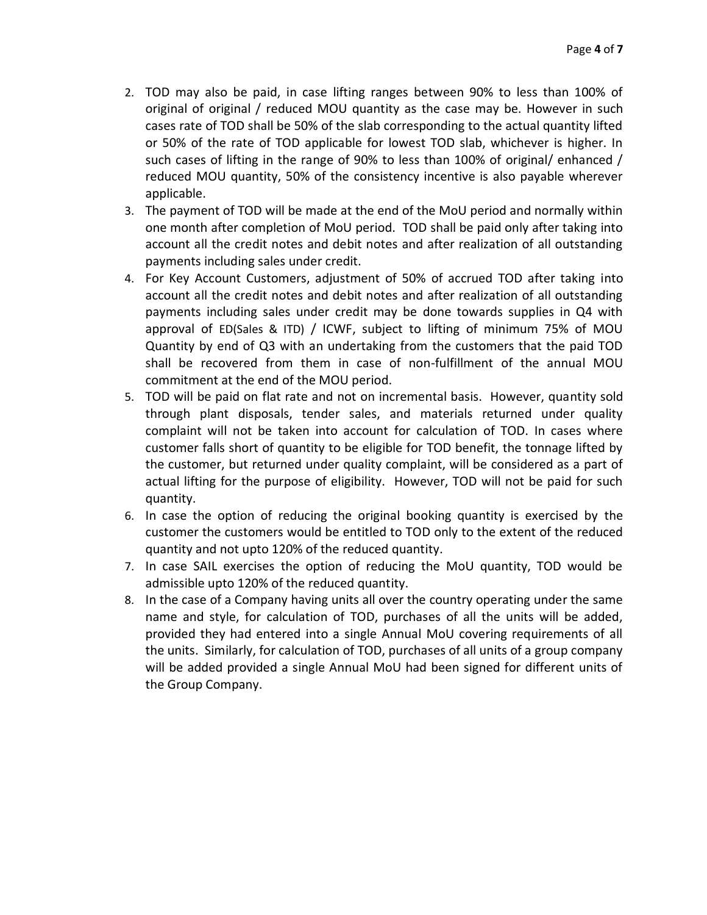- 2. TOD may also be paid, in case lifting ranges between 90% to less than 100% of original of original / reduced MOU quantity as the case may be. However in such cases rate of TOD shall be 50% of the slab corresponding to the actual quantity lifted or 50% of the rate of TOD applicable for lowest TOD slab, whichever is higher. In such cases of lifting in the range of 90% to less than 100% of original/ enhanced / reduced MOU quantity, 50% of the consistency incentive is also payable wherever applicable.
- 3. The payment of TOD will be made at the end of the MoU period and normally within one month after completion of MoU period. TOD shall be paid only after taking into account all the credit notes and debit notes and after realization of all outstanding payments including sales under credit.
- 4. For Key Account Customers, adjustment of 50% of accrued TOD after taking into account all the credit notes and debit notes and after realization of all outstanding payments including sales under credit may be done towards supplies in Q4 with approval of ED(Sales & ITD) / ICWF, subject to lifting of minimum 75% of MOU Quantity by end of Q3 with an undertaking from the customers that the paid TOD shall be recovered from them in case of non-fulfillment of the annual MOU commitment at the end of the MOU period.
- 5. TOD will be paid on flat rate and not on incremental basis. However, quantity sold through plant disposals, tender sales, and materials returned under quality complaint will not be taken into account for calculation of TOD. In cases where customer falls short of quantity to be eligible for TOD benefit, the tonnage lifted by the customer, but returned under quality complaint, will be considered as a part of actual lifting for the purpose of eligibility. However, TOD will not be paid for such quantity.
- 6. In case the option of reducing the original booking quantity is exercised by the customer the customers would be entitled to TOD only to the extent of the reduced quantity and not upto 120% of the reduced quantity.
- 7. In case SAIL exercises the option of reducing the MoU quantity, TOD would be admissible upto 120% of the reduced quantity.
- 8. In the case of a Company having units all over the country operating under the same name and style, for calculation of TOD, purchases of all the units will be added, provided they had entered into a single Annual MoU covering requirements of all the units. Similarly, for calculation of TOD, purchases of all units of a group company will be added provided a single Annual MoU had been signed for different units of the Group Company.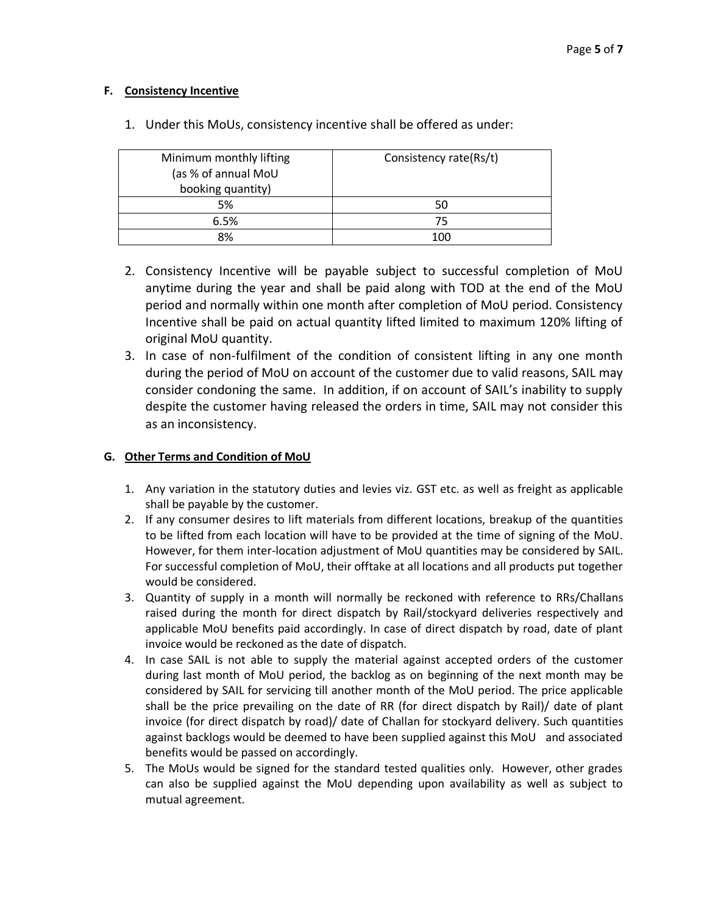#### **F. Consistency Incentive**

| Minimum monthly lifting | Consistency rate(Rs/t) |  |  |
|-------------------------|------------------------|--|--|
| (as % of annual MoU     |                        |  |  |
| booking quantity)       |                        |  |  |
| 5%                      | 50                     |  |  |
| 6.5%                    | 75                     |  |  |
| 8%                      | 100                    |  |  |

1. Under this MoUs, consistency incentive shall be offered as under:

- 2. Consistency Incentive will be payable subject to successful completion of MoU anytime during the year and shall be paid along with TOD at the end of the MoU period and normally within one month after completion of MoU period. Consistency Incentive shall be paid on actual quantity lifted limited to maximum 120% lifting of original MoU quantity.
- 3. In case of non-fulfilment of the condition of consistent lifting in any one month during the period of MoU on account of the customer due to valid reasons, SAIL may consider condoning the same. In addition, if on account of SAIL's inability to supply despite the customer having released the orders in time, SAIL may not consider this as an inconsistency.

#### **G. Other Terms and Condition of MoU**

- 1. Any variation in the statutory duties and levies viz. GST etc. as well as freight as applicable shall be payable by the customer.
- 2. If any consumer desires to lift materials from different locations, breakup of the quantities to be lifted from each location will have to be provided at the time of signing of the MoU. However, for them inter-location adjustment of MoU quantities may be considered by SAIL. For successful completion of MoU, their offtake at all locations and all products put together would be considered.
- 3. Quantity of supply in a month will normally be reckoned with reference to RRs/Challans raised during the month for direct dispatch by Rail/stockyard deliveries respectively and applicable MoU benefits paid accordingly. In case of direct dispatch by road, date of plant invoice would be reckoned as the date of dispatch.
- 4. In case SAIL is not able to supply the material against accepted orders of the customer during last month of MoU period, the backlog as on beginning of the next month may be considered by SAIL for servicing till another month of the MoU period. The price applicable shall be the price prevailing on the date of RR (for direct dispatch by Rail)/ date of plant invoice (for direct dispatch by road)/ date of Challan for stockyard delivery. Such quantities against backlogs would be deemed to have been supplied against this MoU and associated benefits would be passed on accordingly.
- 5. The MoUs would be signed for the standard tested qualities only. However, other grades can also be supplied against the MoU depending upon availability as well as subject to mutual agreement.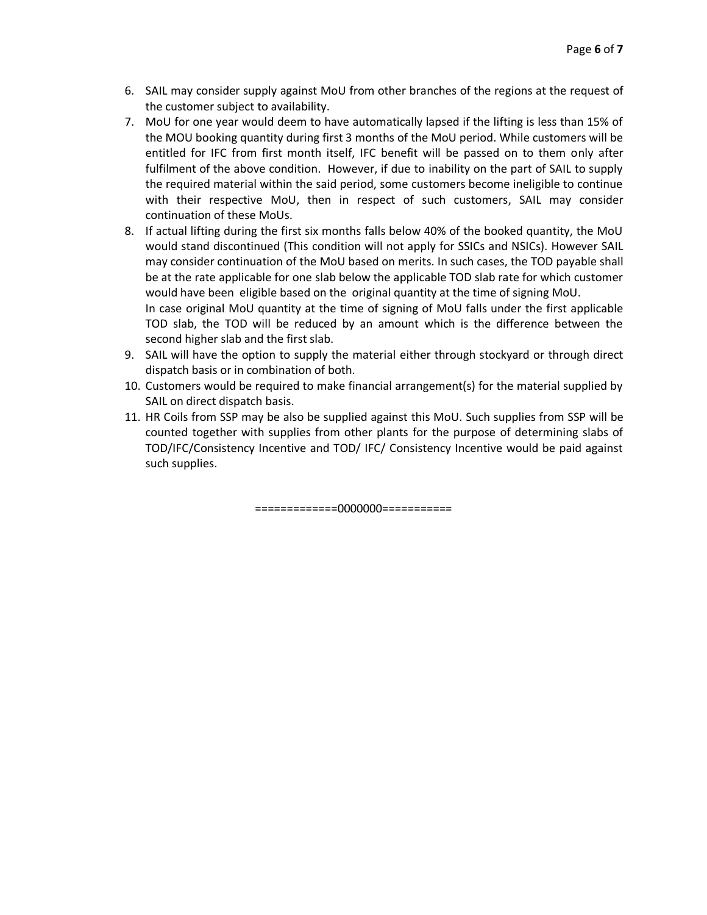- 6. SAIL may consider supply against MoU from other branches of the regions at the request of the customer subject to availability.
- 7. MoU for one year would deem to have automatically lapsed if the lifting is less than 15% of the MOU booking quantity during first 3 months of the MoU period. While customers will be entitled for IFC from first month itself, IFC benefit will be passed on to them only after fulfilment of the above condition. However, if due to inability on the part of SAIL to supply the required material within the said period, some customers become ineligible to continue with their respective MoU, then in respect of such customers, SAIL may consider continuation of these MoUs.
- 8. If actual lifting during the first six months falls below 40% of the booked quantity, the MoU would stand discontinued (This condition will not apply for SSICs and NSICs). However SAIL may consider continuation of the MoU based on merits. In such cases, the TOD payable shall be at the rate applicable for one slab below the applicable TOD slab rate for which customer would have been eligible based on the original quantity at the time of signing MoU. In case original MoU quantity at the time of signing of MoU falls under the first applicable TOD slab, the TOD will be reduced by an amount which is the difference between the second higher slab and the first slab.
- 9. SAIL will have the option to supply the material either through stockyard or through direct dispatch basis or in combination of both.
- 10. Customers would be required to make financial arrangement(s) for the material supplied by SAIL on direct dispatch basis.
- 11. HR Coils from SSP may be also be supplied against this MoU. Such supplies from SSP will be counted together with supplies from other plants for the purpose of determining slabs of TOD/IFC/Consistency Incentive and TOD/ IFC/ Consistency Incentive would be paid against such supplies.

=============0000000===========